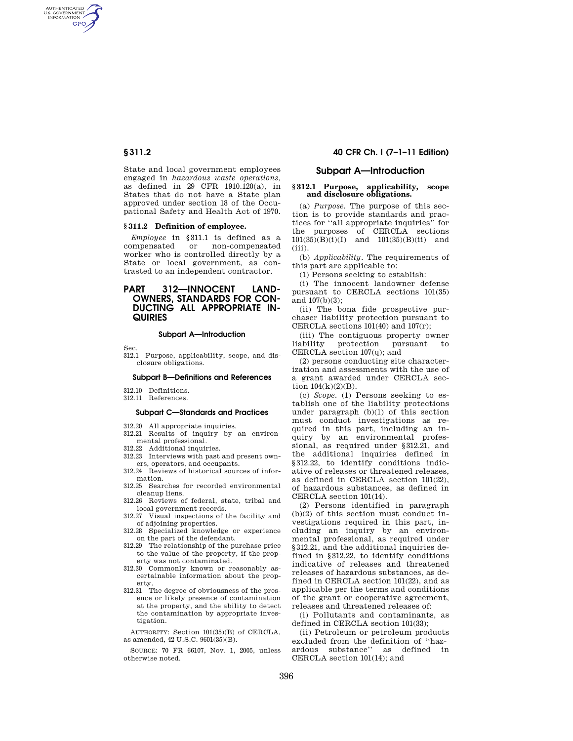AUTHENTICATED<br>U.S. GOVERNMENT<br>INFORMATION **GPO** 

> State and local government employees engaged in *hazardous waste operations,*  as defined in 29 CFR 1910.120(a), in States that do not have a State plan approved under section 18 of the Occupational Safety and Health Act of 1970.

#### **§ 311.2 Definition of employee.**

*Employee* in §311.1 is defined as a compensated or non-compensated worker who is controlled directly by a State or local government, as contrasted to an independent contractor.

# **PART 312—INNOCENT LAND-OWNERS, STANDARDS FOR CON-DUCTING ALL APPROPRIATE IN-QUIRIES**

## **Subpart A—Introduction**

Sec.

312.1 Purpose, applicability, scope, and disclosure obligations.

#### **Subpart B—Definitions and References**

- 312.10 Definitions.
- 312.11 References.

## **Subpart C—Standards and Practices**

- 312.20 All appropriate inquiries.
- 312.21 Results of inquiry by an environmental professional.
- 312.22 Additional inquiries.
- 312.23 Interviews with past and present owners, operators, and occupants.
- 312.24 Reviews of historical sources of information.
- 312.25 Searches for recorded environmental cleanup liens.
- 312.26 Reviews of federal, state, tribal and local government records.
- 312.27 Visual inspections of the facility and of adjoining properties.
- 312.28 Specialized knowledge or experience on the part of the defendant.
- 312.29 The relationship of the purchase price to the value of the property, if the property was not contaminated.
- 312.30 Commonly known or reasonably ascertainable information about the property.
- 312.31 The degree of obviousness of the presence or likely presence of contamination at the property, and the ability to detect the contamination by appropriate investigation.
- AUTHORITY: Section 101(35)(B) of CERCLA, as amended, 42 U.S.C. 9601(35)(B).

SOURCE: 70 FR 66107, Nov. 1, 2005, unless otherwise noted.

## **§ 311.2 40 CFR Ch. I (7–1–11 Edition)**

# **Subpart A—Introduction**

#### **§ 312.1 Purpose, applicability, scope and disclosure obligations.**

(a) *Purpose.* The purpose of this section is to provide standards and practices for ''all appropriate inquiries'' for the purposes of CERCLA sections  $101(35)(B)(i)(I)$  and  $101(35)(B)(ii)$  and (iii).

(b) *Applicability.* The requirements of this part are applicable to:

(1) Persons seeking to establish:

(i) The innocent landowner defense pursuant to CERCLA sections 101(35) and 107(b)(3);

(ii) The bona fide prospective purchaser liability protection pursuant to CERCLA sections 101(40) and 107(r);

(iii) The contiguous property owner liability protection pursuant to CERCLA section  $107(q)$ ; and

(2) persons conducting site characterization and assessments with the use of a grant awarded under CERCLA section  $104(k)(2)(B)$ .

(c) *Scope.* (1) Persons seeking to establish one of the liability protections under paragraph (b)(1) of this section must conduct investigations as required in this part, including an inquiry by an environmental professional, as required under §312.21, and the additional inquiries defined in §312.22, to identify conditions indicative of releases or threatened releases, as defined in CERCLA section 101(22), of hazardous substances, as defined in CERCLA section 101(14).

(2) Persons identified in paragraph (b)(2) of this section must conduct investigations required in this part, including an inquiry by an environmental professional, as required under §312.21, and the additional inquiries defined in §312.22, to identify conditions indicative of releases and threatened releases of hazardous substances, as defined in CERCLA section 101(22), and as applicable per the terms and conditions of the grant or cooperative agreement, releases and threatened releases of:

(i) Pollutants and contaminants, as defined in CERCLA section 101(33);

(ii) Petroleum or petroleum products excluded from the definition of ''hazardous substance'' as defined in CERCLA section 101(14); and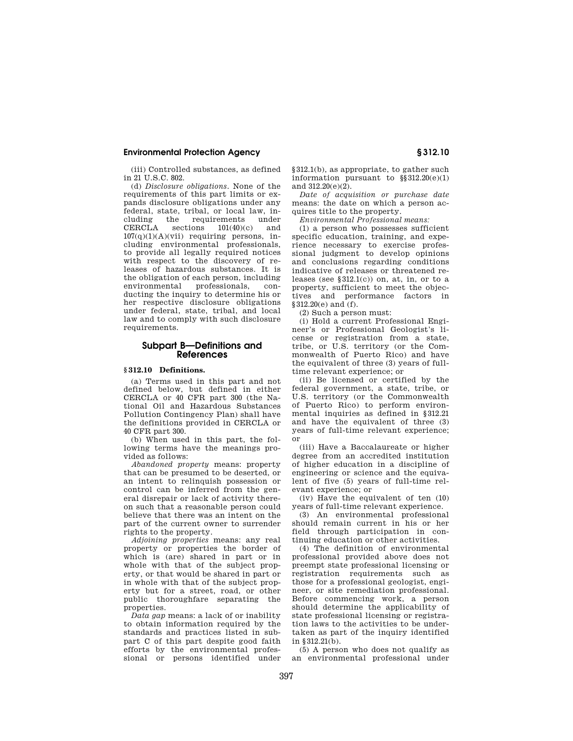(iii) Controlled substances, as defined in 21 U.S.C. 802.

(d) *Disclosure obligations.* None of the requirements of this part limits or expands disclosure obligations under any federal, state, tribal, or local law, including the requirements under<br>CERCLA sections  $101(40)(c)$  and  $101(40)(c)$  $107(q)(1)(A)(vii)$  requiring persons, including environmental professionals, to provide all legally required notices with respect to the discovery of releases of hazardous substances. It is the obligation of each person, including<br>environmental professionals conenvironmental professionals, ducting the inquiry to determine his or her respective disclosure obligations under federal, state, tribal, and local law and to comply with such disclosure requirements.

# **Subpart B—Definitions and References**

### **§ 312.10 Definitions.**

(a) Terms used in this part and not defined below, but defined in either CERCLA or 40 CFR part 300 (the National Oil and Hazardous Substances Pollution Contingency Plan) shall have the definitions provided in CERCLA or 40 CFR part 300.

(b) When used in this part, the following terms have the meanings provided as follows:

*Abandoned property* means: property that can be presumed to be deserted, or an intent to relinquish possession or control can be inferred from the general disrepair or lack of activity thereon such that a reasonable person could believe that there was an intent on the part of the current owner to surrender rights to the property.

*Adjoining properties* means: any real property or properties the border of which is (are) shared in part or in whole with that of the subject property, or that would be shared in part or in whole with that of the subject property but for a street, road, or other public thoroughfare separating the properties.

*Data gap* means: a lack of or inability to obtain information required by the standards and practices listed in subpart C of this part despite good faith efforts by the environmental professional or persons identified under §312.1(b), as appropriate, to gather such information pursuant to §§312.20(e)(1) and  $312.20(e)(2)$ .

*Date of acquisition or purchase date*  means: the date on which a person acquires title to the property.

*Environmental Professional means:* 

(1) a person who possesses sufficient specific education, training, and experience necessary to exercise professional judgment to develop opinions and conclusions regarding conditions indicative of releases or threatened releases (see  $$312.1(c)$ ) on, at, in, or to a property, sufficient to meet the objectives and performance factors in §312.20(e) and (f).

(2) Such a person must:

(i) Hold a current Professional Engineer's or Professional Geologist's license or registration from a state, tribe, or U.S. territory (or the Commonwealth of Puerto Rico) and have the equivalent of three (3) years of fulltime relevant experience; or

(ii) Be licensed or certified by the federal government, a state, tribe, or U.S. territory (or the Commonwealth of Puerto Rico) to perform environmental inquiries as defined in §312.21 and have the equivalent of three (3) years of full-time relevant experience; or

(iii) Have a Baccalaureate or higher degree from an accredited institution of higher education in a discipline of engineering or science and the equivalent of five (5) years of full-time relevant experience; or

(iv) Have the equivalent of ten (10) years of full-time relevant experience.

(3) An environmental professional should remain current in his or her field through participation in continuing education or other activities.

(4) The definition of environmental professional provided above does not preempt state professional licensing or registration requirements such as those for a professional geologist, engineer, or site remediation professional. Before commencing work, a person should determine the applicability of state professional licensing or registration laws to the activities to be undertaken as part of the inquiry identified in  $8312.21(b)$ .

(5) A person who does not qualify as an environmental professional under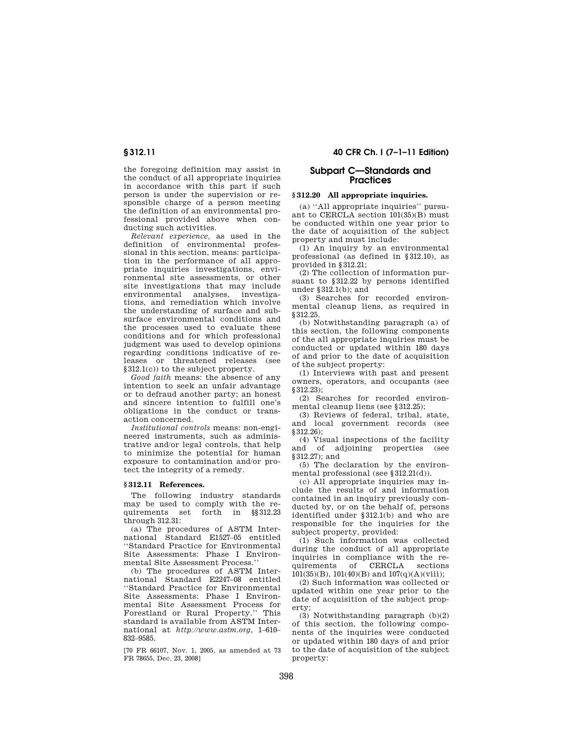the foregoing definition may assist in the conduct of all appropriate inquiries in accordance with this part if such person is under the supervision or responsible charge of a person meeting the definition of an environmental professional provided above when conducting such activities.

*Relevant experience,* as used in the definition of environmental professional in this section, means: participation in the performance of all appropriate inquiries investigations, environmental site assessments, or other site investigations that may include environmental analyses, investigations, and remediation which involve the understanding of surface and subsurface environmental conditions and the processes used to evaluate these conditions and for which professional judgment was used to develop opinions regarding conditions indicative of releases or threatened releases (see §312.1(c)) to the subject property.

*Good faith* means: the absence of any intention to seek an unfair advantage or to defraud another party; an honest and sincere intention to fulfill one's obligations in the conduct or transaction concerned.

*Institutional controls* means: non-engineered instruments, such as administrative and/or legal controls, that help to minimize the potential for human exposure to contamination and/or protect the integrity of a remedy.

#### **§ 312.11 References.**

The following industry standards may be used to comply with the requirements set forth in §§312.23 through 312.31:

(a) The procedures of ASTM International Standard E1527–05 entitled ''Standard Practice for Environmental Site Assessments: Phase I Environmental Site Assessment Process.''

(b) The procedures of ASTM International Standard E2247–08 entitled ''Standard Practice for Environmental Site Assessments: Phase I Environmental Site Assessment Process for Forestland or Rural Property.'' This standard is available from ASTM International at *http://www.astm.org*, 1–610– 832–9585.

[70 FR 66107, Nov. 1, 2005, as amended at 73 FR 78655, Dec. 23, 2008]

# **§ 312.11 40 CFR Ch. I (7–1–11 Edition)**

## **Subpart C—Standards and Practices**

## **§ 312.20 All appropriate inquiries.**

(a) ''All appropriate inquiries'' pursuant to CERCLA section 101(35)(B) must be conducted within one year prior to the date of acquisition of the subject property and must include:

(1) An inquiry by an environmental professional (as defined in §312.10), as provided in §312.21;

(2) The collection of information pursuant to §312.22 by persons identified under §312.1(b); and

(3) Searches for recorded environmental cleanup liens, as required in §312.25.

(b) Notwithstanding paragraph (a) of this section, the following components of the all appropriate inquiries must be conducted or updated within 180 days of and prior to the date of acquisition of the subject property:

(1) Interviews with past and present owners, operators, and occupants (see §312.23);

(2) Searches for recorded environmental cleanup liens (see §312.25);

(3) Reviews of federal, tribal, state, and local government records (see §312.26);

(4) Visual inspections of the facility and of adjoining properties (see §312.27); and

(5) The declaration by the environmental professional (see §312.21(d)).

(c) All appropriate inquiries may include the results of and information contained in an inquiry previously conducted by, or on the behalf of, persons identified under §312.1(b) and who are responsible for the inquiries for the subject property, provided:

(1) Such information was collected during the conduct of all appropriate inquiries in compliance with the requirements of CERCLA sections  $101(35)(B)$ ,  $101(40)(B)$  and  $107(q)(A)(viii)$ ;

(2) Such information was collected or updated within one year prior to the date of acquisition of the subject property;

(3) Notwithstanding paragraph (b)(2) of this section, the following components of the inquiries were conducted or updated within 180 days of and prior to the date of acquisition of the subject property: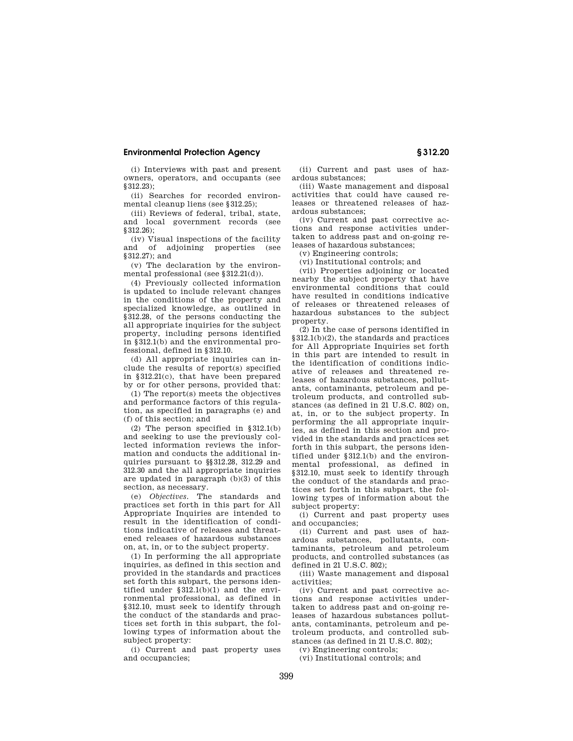(i) Interviews with past and present owners, operators, and occupants (see §312.23);

(ii) Searches for recorded environmental cleanup liens (see §312.25);

(iii) Reviews of federal, tribal, state, and local government records (see §312.26);

(iv) Visual inspections of the facility and of adjoining properties (see §312.27); and

(v) The declaration by the environmental professional (see §312.21(d)).

(4) Previously collected information is updated to include relevant changes in the conditions of the property and specialized knowledge, as outlined in §312.28, of the persons conducting the all appropriate inquiries for the subject property, including persons identified in §312.1(b) and the environmental professional, defined in §312.10.

(d) All appropriate inquiries can include the results of report(s) specified in §312.21(c), that have been prepared by or for other persons, provided that:

(1) The report(s) meets the objectives and performance factors of this regulation, as specified in paragraphs (e) and (f) of this section; and

(2) The person specified in §312.1(b) and seeking to use the previously collected information reviews the information and conducts the additional inquiries pursuant to §§312.28, 312.29 and 312.30 and the all appropriate inquiries are updated in paragraph (b)(3) of this section, as necessary.

(e) *Objectives.* The standards and practices set forth in this part for All Appropriate Inquiries are intended to result in the identification of conditions indicative of releases and threatened releases of hazardous substances on, at, in, or to the subject property.

(1) In performing the all appropriate inquiries, as defined in this section and provided in the standards and practices set forth this subpart, the persons identified under §312.1(b)(1) and the environmental professional, as defined in §312.10, must seek to identify through the conduct of the standards and practices set forth in this subpart, the following types of information about the subject property:

(i) Current and past property uses and occupancies;

(ii) Current and past uses of hazardous substances;

(iii) Waste management and disposal activities that could have caused releases or threatened releases of hazardous substances;

(iv) Current and past corrective actions and response activities undertaken to address past and on-going releases of hazardous substances;

(v) Engineering controls;

(vi) Institutional controls; and

(vii) Properties adjoining or located nearby the subject property that have environmental conditions that could have resulted in conditions indicative of releases or threatened releases of hazardous substances to the subject property.

(2) In the case of persons identified in §312.1(b)(2), the standards and practices for All Appropriate Inquiries set forth in this part are intended to result in the identification of conditions indicative of releases and threatened releases of hazardous substances, pollutants, contaminants, petroleum and petroleum products, and controlled substances (as defined in 21 U.S.C. 802) on, at, in, or to the subject property. In performing the all appropriate inquiries, as defined in this section and provided in the standards and practices set forth in this subpart, the persons identified under §312.1(b) and the environmental professional, as defined in §312.10, must seek to identify through the conduct of the standards and practices set forth in this subpart, the following types of information about the subject property:

(i) Current and past property uses and occupancies;

(ii) Current and past uses of hazardous substances, pollutants, contaminants, petroleum and petroleum products, and controlled substances (as defined in 21 U.S.C. 802);

(iii) Waste management and disposal activities;

(iv) Current and past corrective actions and response activities undertaken to address past and on-going releases of hazardous substances pollutants, contaminants, petroleum and petroleum products, and controlled substances (as defined in 21 U.S.C. 802);

(v) Engineering controls;

(vi) Institutional controls; and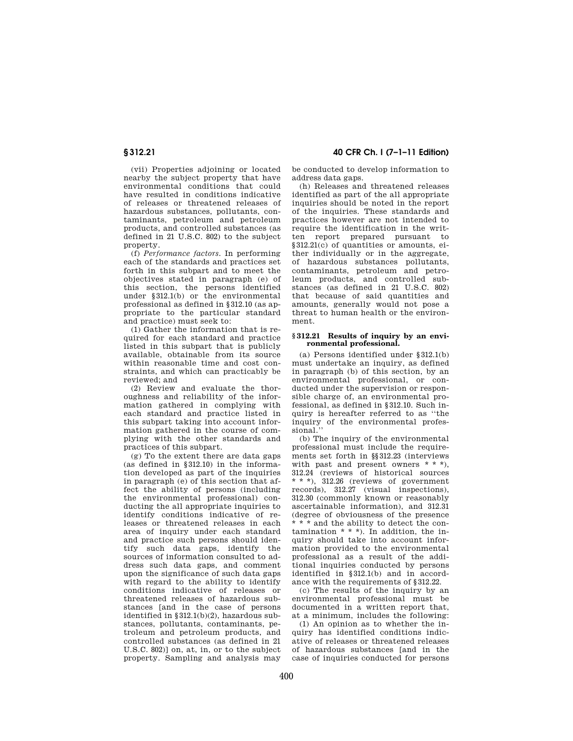(vii) Properties adjoining or located nearby the subject property that have environmental conditions that could have resulted in conditions indicative of releases or threatened releases of hazardous substances, pollutants, contaminants, petroleum and petroleum products, and controlled substances (as defined in 21 U.S.C. 802) to the subject property.

(f) *Performance factors.* In performing each of the standards and practices set forth in this subpart and to meet the objectives stated in paragraph (e) of this section, the persons identified under  $§312.1(b)$  or the environmental professional as defined in §312.10 (as appropriate to the particular standard and practice) must seek to:

(1) Gather the information that is required for each standard and practice listed in this subpart that is publicly available, obtainable from its source within reasonable time and cost constraints, and which can practicably be reviewed; and

(2) Review and evaluate the thoroughness and reliability of the information gathered in complying with each standard and practice listed in this subpart taking into account information gathered in the course of complying with the other standards and practices of this subpart.

(g) To the extent there are data gaps (as defined in §312.10) in the information developed as part of the inquiries in paragraph (e) of this section that affect the ability of persons (including the environmental professional) conducting the all appropriate inquiries to identify conditions indicative of releases or threatened releases in each area of inquiry under each standard and practice such persons should identify such data gaps, identify the sources of information consulted to address such data gaps, and comment upon the significance of such data gaps with regard to the ability to identify conditions indicative of releases or threatened releases of hazardous substances [and in the case of persons identified in §312.1(b)(2), hazardous substances, pollutants, contaminants, petroleum and petroleum products, and controlled substances (as defined in 21 U.S.C. 802)] on, at, in, or to the subject property. Sampling and analysis may

**§ 312.21 40 CFR Ch. I (7–1–11 Edition)** 

be conducted to develop information to address data gaps.

(h) Releases and threatened releases identified as part of the all appropriate inquiries should be noted in the report of the inquiries. These standards and practices however are not intended to require the identification in the written report prepared pursuant to §312.21(c) of quantities or amounts, either individually or in the aggregate, of hazardous substances pollutants, contaminants, petroleum and petroleum products, and controlled substances (as defined in 21 U.S.C. 802) that because of said quantities and amounts, generally would not pose a threat to human health or the environment.

#### **§ 312.21 Results of inquiry by an environmental professional.**

(a) Persons identified under §312.1(b) must undertake an inquiry, as defined in paragraph (b) of this section, by an environmental professional, or conducted under the supervision or responsible charge of, an environmental professional, as defined in §312.10. Such inquiry is hereafter referred to as ''the inquiry of the environmental professional.''

(b) The inquiry of the environmental professional must include the requirements set forth in §§312.23 (interviews with past and present owners  $* * *$ ), 312.24 (reviews of historical sources \* \* \*), 312.26 (reviews of government records), 312.27 (visual inspections), 312.30 (commonly known or reasonably ascertainable information), and 312.31 (degree of obviousness of the presence \* \* \* and the ability to detect the contamination  $* * *$ ). In addition, the inquiry should take into account information provided to the environmental professional as a result of the additional inquiries conducted by persons identified in §312.1(b) and in accordance with the requirements of §312.22.

(c) The results of the inquiry by an environmental professional must be documented in a written report that, at a minimum, includes the following:

(1) An opinion as to whether the inquiry has identified conditions indicative of releases or threatened releases of hazardous substances [and in the case of inquiries conducted for persons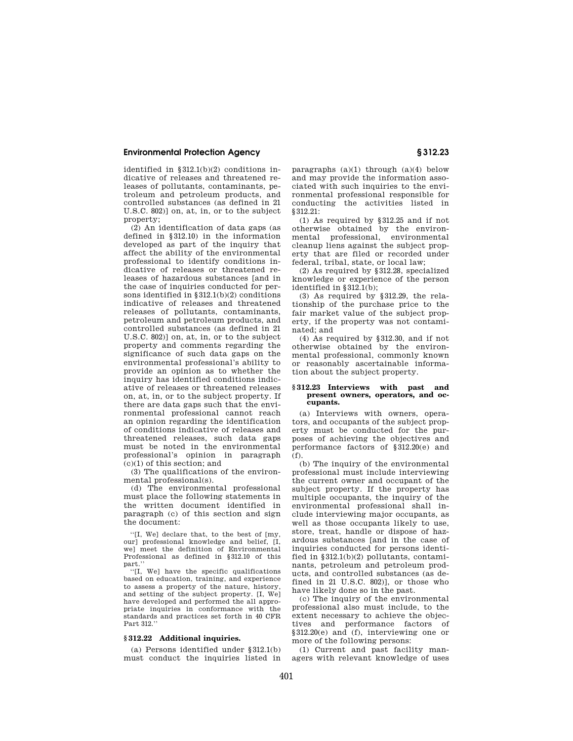identified in §312.1(b)(2) conditions indicative of releases and threatened releases of pollutants, contaminants, petroleum and petroleum products, and controlled substances (as defined in 21 U.S.C. 802)] on, at, in, or to the subject property;

(2) An identification of data gaps (as defined in §312.10) in the information developed as part of the inquiry that affect the ability of the environmental professional to identify conditions indicative of releases or threatened releases of hazardous substances [and in the case of inquiries conducted for persons identified in §312.1(b)(2) conditions indicative of releases and threatened releases of pollutants, contaminants, petroleum and petroleum products, and controlled substances (as defined in 21 U.S.C. 802)] on, at, in, or to the subject property and comments regarding the significance of such data gaps on the environmental professional's ability to provide an opinion as to whether the inquiry has identified conditions indicative of releases or threatened releases on, at, in, or to the subject property. If there are data gaps such that the environmental professional cannot reach an opinion regarding the identification of conditions indicative of releases and threatened releases, such data gaps must be noted in the environmental professional's opinion in paragraph (c)(1) of this section; and

(3) The qualifications of the environmental professional(s).

(d) The environmental professional must place the following statements in the written document identified in paragraph (c) of this section and sign the document:

''[I, We] declare that, to the best of [my, our] professional knowledge and belief, [I, we] meet the definition of Environmental Professional as defined in §312.10 of this part.''

''[I, We] have the specific qualifications based on education, training, and experience to assess a property of the nature, history, and setting of the subject property. [I, We] have developed and performed the all appropriate inquiries in conformance with the standards and practices set forth in 40 CFR Part 312.''

#### **§ 312.22 Additional inquiries.**

(a) Persons identified under §312.1(b) must conduct the inquiries listed in

paragraphs  $(a)(1)$  through  $(a)(4)$  below and may provide the information associated with such inquiries to the environmental professional responsible for conducting the activities listed in  $8.312.21$ 

(1) As required by §312.25 and if not otherwise obtained by the environmental professional, environmental cleanup liens against the subject property that are filed or recorded under federal, tribal, state, or local law;

(2) As required by §312.28, specialized knowledge or experience of the person identified in §312.1(b);

(3) As required by §312.29, the relationship of the purchase price to the fair market value of the subject property, if the property was not contaminated; and

(4) As required by §312.30, and if not otherwise obtained by the environmental professional, commonly known or reasonably ascertainable information about the subject property.

#### **§ 312.23 Interviews with past and present owners, operators, and occupants.**

(a) Interviews with owners, operators, and occupants of the subject property must be conducted for the purposes of achieving the objectives and performance factors of §312.20(e) and (f).

(b) The inquiry of the environmental professional must include interviewing the current owner and occupant of the subject property. If the property has multiple occupants, the inquiry of the environmental professional shall include interviewing major occupants, as well as those occupants likely to use, store, treat, handle or dispose of hazardous substances [and in the case of inquiries conducted for persons identified in §312.1(b)(2) pollutants, contaminants, petroleum and petroleum products, and controlled substances (as defined in 21 U.S.C. 802)], or those who have likely done so in the past.

(c) The inquiry of the environmental professional also must include, to the extent necessary to achieve the objectives and performance factors of §312.20(e) and (f), interviewing one or more of the following persons:

(1) Current and past facility managers with relevant knowledge of uses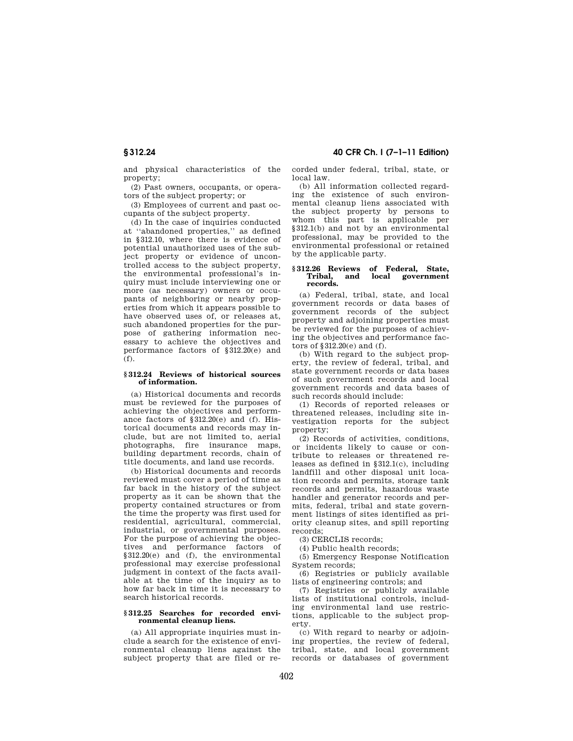and physical characteristics of the property;

(2) Past owners, occupants, or operators of the subject property; or

(3) Employees of current and past occupants of the subject property.

(d) In the case of inquiries conducted at ''abandoned properties,'' as defined in §312.10, where there is evidence of potential unauthorized uses of the subject property or evidence of uncontrolled access to the subject property, the environmental professional's inquiry must include interviewing one or more (as necessary) owners or occupants of neighboring or nearby properties from which it appears possible to have observed uses of, or releases at, such abandoned properties for the purpose of gathering information necessary to achieve the objectives and performance factors of §312.20(e) and  $(f)$ .

## **§ 312.24 Reviews of historical sources of information.**

(a) Historical documents and records must be reviewed for the purposes of achieving the objectives and performance factors of §312.20(e) and (f). Historical documents and records may include, but are not limited to, aerial photographs, fire insurance maps, building department records, chain of title documents, and land use records.

(b) Historical documents and records reviewed must cover a period of time as far back in the history of the subject property as it can be shown that the property contained structures or from the time the property was first used for residential, agricultural, commercial, industrial, or governmental purposes. For the purpose of achieving the objectives and performance factors of §312.20(e) and (f), the environmental professional may exercise professional judgment in context of the facts available at the time of the inquiry as to how far back in time it is necessary to search historical records.

## **§ 312.25 Searches for recorded environmental cleanup liens.**

(a) All appropriate inquiries must include a search for the existence of environmental cleanup liens against the subject property that are filed or re-

**§ 312.24 40 CFR Ch. I (7–1–11 Edition)** 

corded under federal, tribal, state, or local law.

(b) All information collected regarding the existence of such environmental cleanup liens associated with the subject property by persons to whom this part is applicable per §312.1(b) and not by an environmental professional, may be provided to the environmental professional or retained by the applicable party.

### **§ 312.26 Reviews of Federal, State, Tribal** government **records.**

(a) Federal, tribal, state, and local government records or data bases of government records of the subject property and adjoining properties must be reviewed for the purposes of achieving the objectives and performance factors of §312.20(e) and (f).

(b) With regard to the subject property, the review of federal, tribal, and state government records or data bases of such government records and local government records and data bases of such records should include:

(1) Records of reported releases or threatened releases, including site investigation reports for the subject property;

(2) Records of activities, conditions, or incidents likely to cause or contribute to releases or threatened releases as defined in §312.1(c), including landfill and other disposal unit location records and permits, storage tank records and permits, hazardous waste handler and generator records and permits, federal, tribal and state government listings of sites identified as priority cleanup sites, and spill reporting records;

(3) CERCLIS records;

(4) Public health records;

(5) Emergency Response Notification System records;

(6) Registries or publicly available lists of engineering controls; and

(7) Registries or publicly available lists of institutional controls, including environmental land use restrictions, applicable to the subject property.

(c) With regard to nearby or adjoining properties, the review of federal, tribal, state, and local government records or databases of government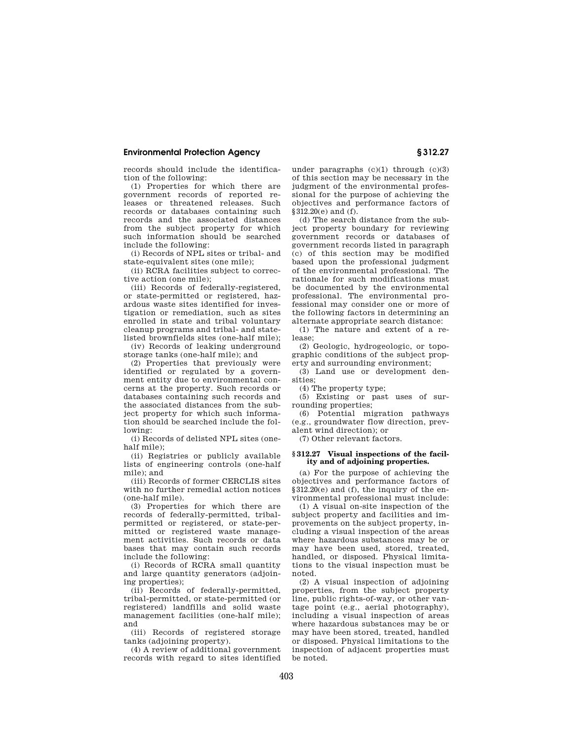records should include the identification of the following:

(1) Properties for which there are government records of reported releases or threatened releases. Such records or databases containing such records and the associated distances from the subject property for which such information should be searched include the following:

(i) Records of NPL sites or tribal- and state-equivalent sites (one mile);

(ii) RCRA facilities subject to corrective action (one mile);

(iii) Records of federally-registered or state-permitted or registered, hazardous waste sites identified for investigation or remediation, such as sites enrolled in state and tribal voluntary cleanup programs and tribal- and statelisted brownfields sites (one-half mile);

(iv) Records of leaking underground storage tanks (one-half mile); and

(2) Properties that previously were identified or regulated by a government entity due to environmental concerns at the property. Such records or databases containing such records and the associated distances from the subject property for which such information should be searched include the following:

(i) Records of delisted NPL sites (onehalf mile);

(ii) Registries or publicly available lists of engineering controls (one-half mile); and

(iii) Records of former CERCLIS sites with no further remedial action notices (one-half mile).

(3) Properties for which there are records of federally-permitted, tribalpermitted or registered, or state-permitted or registered waste management activities. Such records or data bases that may contain such records include the following:

(i) Records of RCRA small quantity and large quantity generators (adjoining properties);

(ii) Records of federally-permitted, tribal-permitted, or state-permitted (or registered) landfills and solid waste management facilities (one-half mile); and

(iii) Records of registered storage tanks (adjoining property).

(4) A review of additional government records with regard to sites identified

under paragraphs  $(c)(1)$  through  $(c)(3)$ of this section may be necessary in the judgment of the environmental professional for the purpose of achieving the objectives and performance factors of §312.20(e) and (f).

(d) The search distance from the subject property boundary for reviewing government records or databases of government records listed in paragraph (c) of this section may be modified based upon the professional judgment of the environmental professional. The rationale for such modifications must be documented by the environmental professional. The environmental professional may consider one or more of the following factors in determining an alternate appropriate search distance:

(1) The nature and extent of a release;

(2) Geologic, hydrogeologic, or topographic conditions of the subject property and surrounding environment;

(3) Land use or development densities;

(4) The property type;

(5) Existing or past uses of surrounding properties;

(6) Potential migration pathways (e.g., groundwater flow direction, prevalent wind direction); or

(7) Other relevant factors.

#### **§ 312.27 Visual inspections of the facility and of adjoining properties.**

(a) For the purpose of achieving the objectives and performance factors of §312.20(e) and (f), the inquiry of the environmental professional must include:

(1) A visual on-site inspection of the subject property and facilities and improvements on the subject property, including a visual inspection of the areas where hazardous substances may be or may have been used, stored, treated, handled, or disposed. Physical limitations to the visual inspection must be noted.

(2) A visual inspection of adjoining properties, from the subject property line, public rights-of-way, or other vantage point (e.g., aerial photography), including a visual inspection of areas where hazardous substances may be or may have been stored, treated, handled or disposed. Physical limitations to the inspection of adjacent properties must be noted.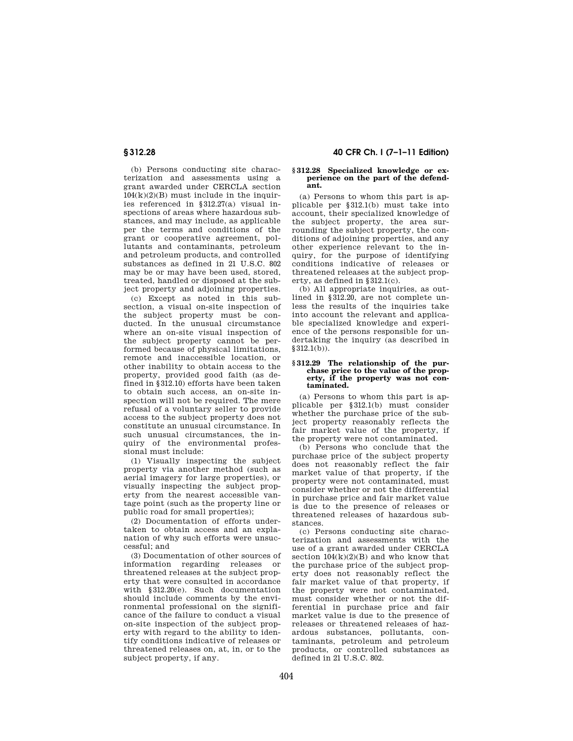(b) Persons conducting site characterization and assessments using a grant awarded under CERCLA section  $104(k)(2)(B)$  must include in the inquiries referenced in §312.27(a) visual inspections of areas where hazardous substances, and may include, as applicable per the terms and conditions of the grant or cooperative agreement, pollutants and contaminants, petroleum and petroleum products, and controlled substances as defined in 21 U.S.C. 802 may be or may have been used, stored, treated, handled or disposed at the subject property and adjoining properties.

(c) Except as noted in this subsection, a visual on-site inspection of the subject property must be conducted. In the unusual circumstance where an on-site visual inspection of the subject property cannot be performed because of physical limitations, remote and inaccessible location, or other inability to obtain access to the property, provided good faith (as defined in §312.10) efforts have been taken to obtain such access, an on-site inspection will not be required. The mere refusal of a voluntary seller to provide access to the subject property does not constitute an unusual circumstance. In such unusual circumstances, the inquiry of the environmental professional must include:

(1) Visually inspecting the subject property via another method (such as aerial imagery for large properties), or visually inspecting the subject property from the nearest accessible vantage point (such as the property line or public road for small properties);

(2) Documentation of efforts undertaken to obtain access and an explanation of why such efforts were unsuccessful; and

(3) Documentation of other sources of information regarding releases or threatened releases at the subject property that were consulted in accordance with §312.20(e). Such documentation should include comments by the environmental professional on the significance of the failure to conduct a visual on-site inspection of the subject property with regard to the ability to identify conditions indicative of releases or threatened releases on, at, in, or to the subject property, if any.

# **§ 312.28 40 CFR Ch. I (7–1–11 Edition)**

#### **§ 312.28 Specialized knowledge or experience on the part of the defendant.**

(a) Persons to whom this part is applicable per §312.1(b) must take into account, their specialized knowledge of the subject property, the area surrounding the subject property, the conditions of adjoining properties, and any other experience relevant to the inquiry, for the purpose of identifying conditions indicative of releases or threatened releases at the subject property, as defined in §312.1(c).

(b) All appropriate inquiries, as outlined in §312.20, are not complete unless the results of the inquiries take into account the relevant and applicable specialized knowledge and experience of the persons responsible for undertaking the inquiry (as described in §312.1(b)).

#### **§ 312.29 The relationship of the purchase price to the value of the property, if the property was not contaminated.**

(a) Persons to whom this part is applicable per §312.1(b) must consider whether the purchase price of the subject property reasonably reflects the fair market value of the property, if the property were not contaminated.

(b) Persons who conclude that the purchase price of the subject property does not reasonably reflect the fair market value of that property, if the property were not contaminated, must consider whether or not the differential in purchase price and fair market value is due to the presence of releases or threatened releases of hazardous substances.

(c) Persons conducting site characterization and assessments with the use of a grant awarded under CERCLA section  $104(k)(2)(B)$  and who know that the purchase price of the subject property does not reasonably reflect the fair market value of that property, if the property were not contaminated, must consider whether or not the differential in purchase price and fair market value is due to the presence of releases or threatened releases of hazardous substances, pollutants, contaminants, petroleum and petroleum products, or controlled substances as defined in 21 U.S.C. 802.